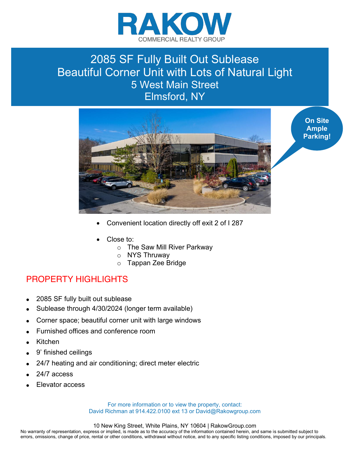

## 2085 SF Fully Built Out Sublease Beautiful Corner Unit with Lots of Natural Light 5 West Main Street Elmsford, NY



x Convenient location directly off exit 2 of I 287

- Close to:
	- o The Saw Mill River Parkway
	- o NYS Thruway
	- o Tappan Zee Bridge

## PROPERTY HIGHLIGHTS

- 2085 SF fully built out sublease
- Sublease through 4/30/2024 (longer term available)
- Corner space; beautiful corner unit with large windows
- Furnished offices and conference room
- **Kitchen**
- 9' finished ceilings
- 24/7 heating and air conditioning; direct meter electric
- 24/7 access
- Elevator access

For more information or to view the property, contact: David Richman at 914.422.0100 ext 13 or David@Rakowgroup.com

## 10 New King Street, White Plains, NY 10604 | RakowGroup.com

No warranty of representation, express or implied, is made as to the accuracy of the information contained herein, and same is submitted subject to errors, omissions, change of price, rental or other conditions, withdrawal without notice, and to any specific listing conditions, imposed by our principals.